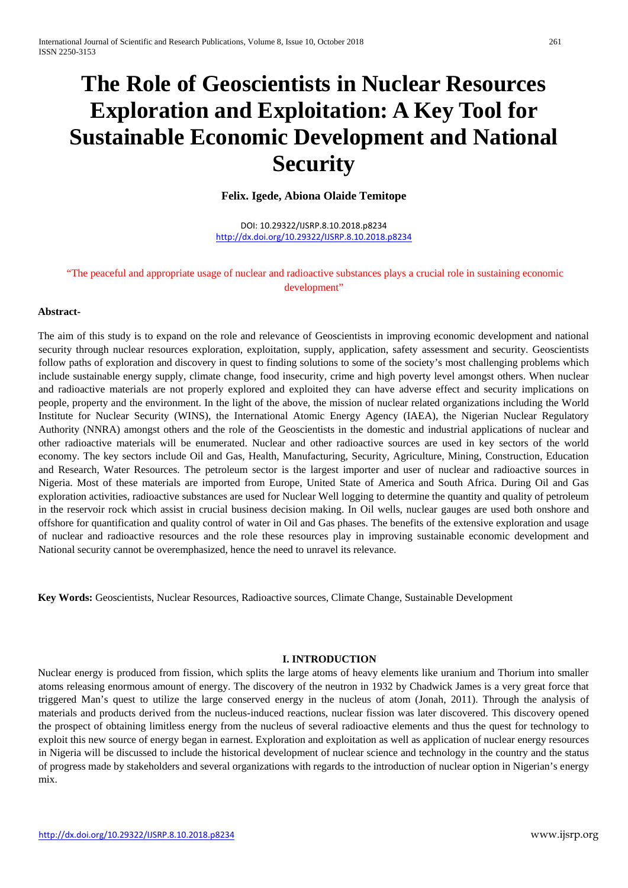# **The Role of Geoscientists in Nuclear Resources Exploration and Exploitation: A Key Tool for Sustainable Economic Development and National Security**

## **Felix. Igede, Abiona Olaide Temitope**

DOI: 10.29322/IJSRP.8.10.2018.p8234 <http://dx.doi.org/10.29322/IJSRP.8.10.2018.p8234>

# "The peaceful and appropriate usage of nuclear and radioactive substances plays a crucial role in sustaining economic development"

#### **Abstract-**

The aim of this study is to expand on the role and relevance of Geoscientists in improving economic development and national security through nuclear resources exploration, exploitation, supply, application, safety assessment and security. Geoscientists follow paths of exploration and discovery in quest to finding solutions to some of the society's most challenging problems which include sustainable energy supply, climate change, food insecurity, crime and high poverty level amongst others. When nuclear and radioactive materials are not properly explored and exploited they can have adverse effect and security implications on people, property and the environment. In the light of the above, the mission of nuclear related organizations including the World Institute for Nuclear Security (WINS), the International Atomic Energy Agency (IAEA), the Nigerian Nuclear Regulatory Authority (NNRA) amongst others and the role of the Geoscientists in the domestic and industrial applications of nuclear and other radioactive materials will be enumerated. Nuclear and other radioactive sources are used in key sectors of the world economy. The key sectors include Oil and Gas, Health, Manufacturing, Security, Agriculture, Mining, Construction, Education and Research, Water Resources. The petroleum sector is the largest importer and user of nuclear and radioactive sources in Nigeria. Most of these materials are imported from Europe, United State of America and South Africa. During Oil and Gas exploration activities, radioactive substances are used for Nuclear Well logging to determine the quantity and quality of petroleum in the reservoir rock which assist in crucial business decision making. In Oil wells, nuclear gauges are used both onshore and offshore for quantification and quality control of water in Oil and Gas phases. The benefits of the extensive exploration and usage of nuclear and radioactive resources and the role these resources play in improving sustainable economic development and National security cannot be overemphasized, hence the need to unravel its relevance.

**Key Words:** Geoscientists, Nuclear Resources, Radioactive sources, Climate Change, Sustainable Development

#### **I. INTRODUCTION**

Nuclear energy is produced from fission, which splits the large atoms of heavy elements like uranium and Thorium into smaller atoms releasing enormous amount of energy. The discovery of the neutron in 1932 by Chadwick James is a very great force that triggered Man's quest to utilize the large conserved energy in the nucleus of atom (Jonah, 2011). Through the analysis of materials and products derived from the nucleus-induced reactions, nuclear fission was later discovered. This discovery opened the prospect of obtaining limitless energy from the nucleus of several radioactive elements and thus the quest for technology to exploit this new source of energy began in earnest. Exploration and exploitation as well as application of nuclear energy resources in Nigeria will be discussed to include the historical development of nuclear science and technology in the country and the status of progress made by stakeholders and several organizations with regards to the introduction of nuclear option in Nigerian's energy mix.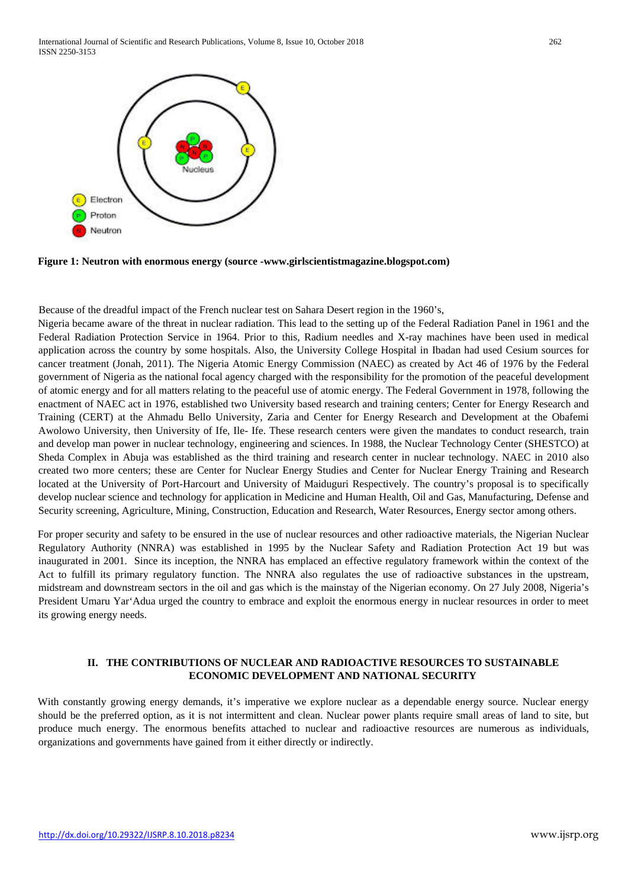

**Figure 1: Neutron with enormous energy (source -www.girlscientistmagazine.blogspot.com)**

Because of the dreadful impact of the French nuclear test on Sahara Desert region in the 1960's,

Nigeria became aware of the threat in nuclear radiation. This lead to the setting up of the Federal Radiation Panel in 1961 and the Federal Radiation Protection Service in 1964. Prior to this, Radium needles and X-ray machines have been used in medical application across the country by some hospitals. Also, the University College Hospital in Ibadan had used Cesium sources for cancer treatment (Jonah, 2011). The Nigeria Atomic Energy Commission (NAEC) as created by Act 46 of 1976 by the Federal government of Nigeria as the national focal agency charged with the responsibility for the promotion of the peaceful development of atomic energy and for all matters relating to the peaceful use of atomic energy. The Federal Government in 1978, following the enactment of NAEC act in 1976, established two University based research and training centers; Center for Energy Research and Training (CERT) at the Ahmadu Bello University, Zaria and Center for Energy Research and Development at the Obafemi Awolowo University, then University of Ife, Ile- Ife. These research centers were given the mandates to conduct research, train and develop man power in nuclear technology, engineering and sciences. In 1988, the Nuclear Technology Center (SHESTCO) at Sheda Complex in Abuja was established as the third training and research center in nuclear technology. NAEC in 2010 also created two more centers; these are Center for Nuclear Energy Studies and Center for Nuclear Energy Training and Research located at the University of Port-Harcourt and University of Maiduguri Respectively. The country's proposal is to specifically develop nuclear science and technology for application in Medicine and Human Health, Oil and Gas, Manufacturing, Defense and Security screening, Agriculture, Mining, Construction, Education and Research, Water Resources, Energy sector among others.

For proper security and safety to be ensured in the use of nuclear resources and other radioactive materials, the Nigerian Nuclear Regulatory Authority (NNRA) was established in 1995 by the Nuclear Safety and Radiation Protection Act 19 but was inaugurated in 2001. Since its inception, the NNRA has emplaced an effective regulatory framework within the context of the Act to fulfill its primary regulatory function. The NNRA also regulates the use of radioactive substances in the upstream, midstream and downstream sectors in the oil and gas which is the mainstay of the Nigerian economy. On 27 July 2008, Nigeria's President Umaru Yar'Adua urged the country to embrace and exploit the enormous energy in nuclear resources in order to meet its growing energy needs.

#### **II. THE CONTRIBUTIONS OF NUCLEAR AND RADIOACTIVE RESOURCES TO SUSTAINABLE ECONOMIC DEVELOPMENT AND NATIONAL SECURITY**

With constantly growing energy demands, it's imperative we explore nuclear as a dependable energy source. Nuclear energy should be the preferred option, as it is not intermittent and clean. Nuclear power plants require small areas of land to site, but produce much energy. The enormous benefits attached to nuclear and radioactive resources are numerous as individuals, organizations and governments have gained from it either directly or indirectly.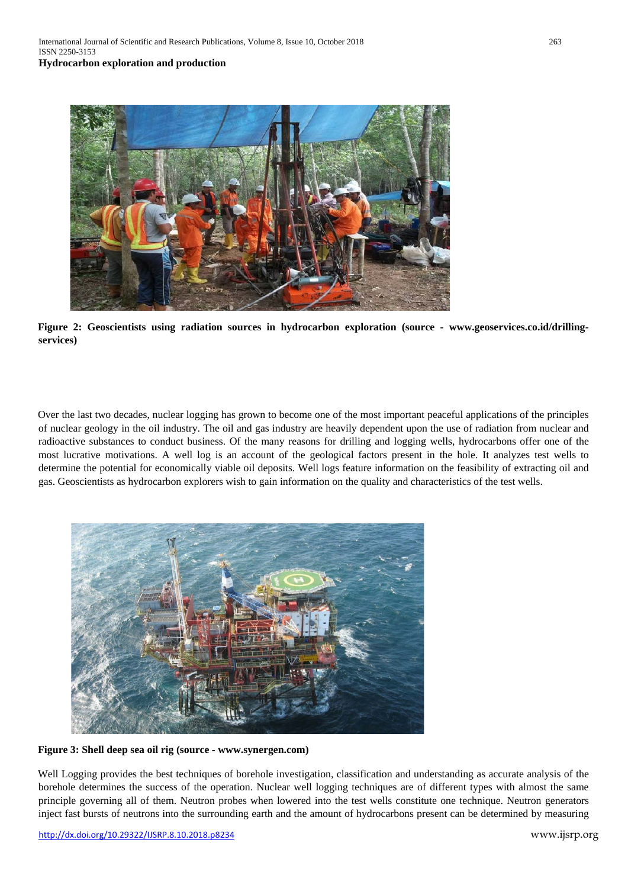

**Figure 2: Geoscientists using radiation sources in hydrocarbon exploration (source - www.geoservices.co.id/drillingservices)** 

Over the last two decades, nuclear logging has grown to become one of the most important peaceful applications of the principles of nuclear geology in the oil industry. The oil and gas industry are heavily dependent upon the use of radiation from nuclear and radioactive substances to conduct business. Of the many reasons for drilling and logging wells, hydrocarbons offer one of the most lucrative motivations. A well log is an account of the geological factors present in the hole. It analyzes test wells to determine the potential for economically viable oil deposits. Well logs feature information on the feasibility of extracting oil and gas. Geoscientists as hydrocarbon explorers wish to gain information on the quality and characteristics of the test wells.



**Figure 3: Shell deep sea oil rig (source - www.synergen.com)** 

Well Logging provides the best techniques of borehole investigation, classification and understanding as accurate analysis of the borehole determines the success of the operation. Nuclear well logging techniques are of different types with almost the same principle governing all of them. Neutron probes when lowered into the test wells constitute one technique. Neutron generators inject fast bursts of neutrons into the surrounding earth and the amount of hydrocarbons present can be determined by measuring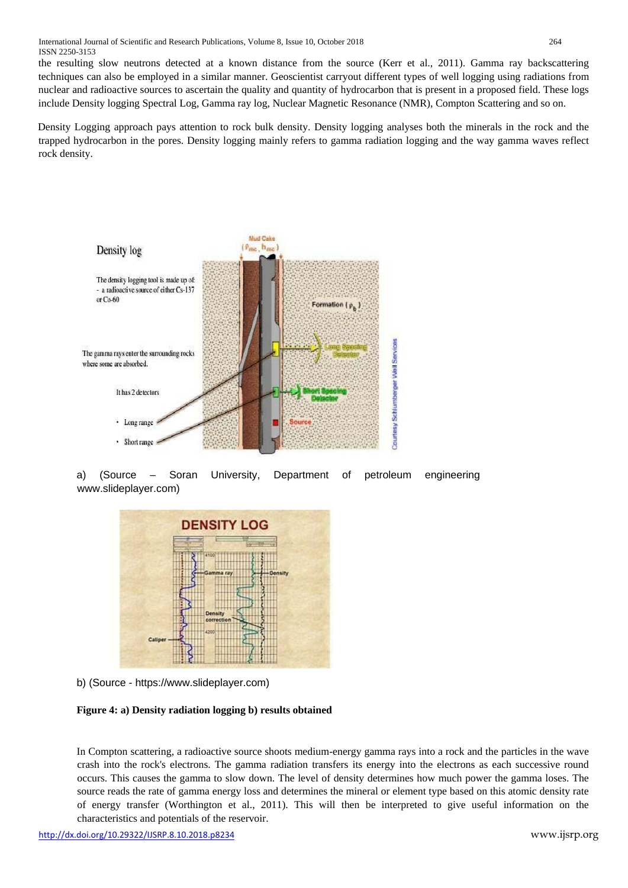the resulting slow neutrons detected at a known distance from the source (Kerr et al., 2011). Gamma ray backscattering techniques can also be employed in a similar manner. Geoscientist carryout different types of well logging using radiations from nuclear and radioactive sources to ascertain the quality and quantity of hydrocarbon that is present in a proposed field. These logs include Density logging Spectral Log, Gamma ray log, Nuclear Magnetic Resonance (NMR), Compton Scattering and so on.

Density Logging approach pays attention to rock bulk density. Density logging analyses both the minerals in the rock and the trapped hydrocarbon in the pores. Density logging mainly refers to gamma radiation logging and the way gamma waves reflect rock density.



a) (Source – Soran University, Department of petroleum engineering www.slideplayer.com)



b) (Source - [https://www.slideplayer.com\)](https://www.slideplayer.com/)

# **Figure 4: a) Density radiation logging b) results obtained**

In Compton scattering, a radioactive source shoots medium-energy gamma rays into a rock and the particles in the wave crash into the rock's electrons. The gamma radiation transfers its energy into the electrons as each successive round occurs. This causes the gamma to slow down. The level of density determines how much power the gamma loses. The source reads the rate of gamma energy loss and determines the mineral or element type based on this atomic density rate of energy transfer (Worthington et al., 2011). This will then be interpreted to give useful information on the characteristics and potentials of the reservoir.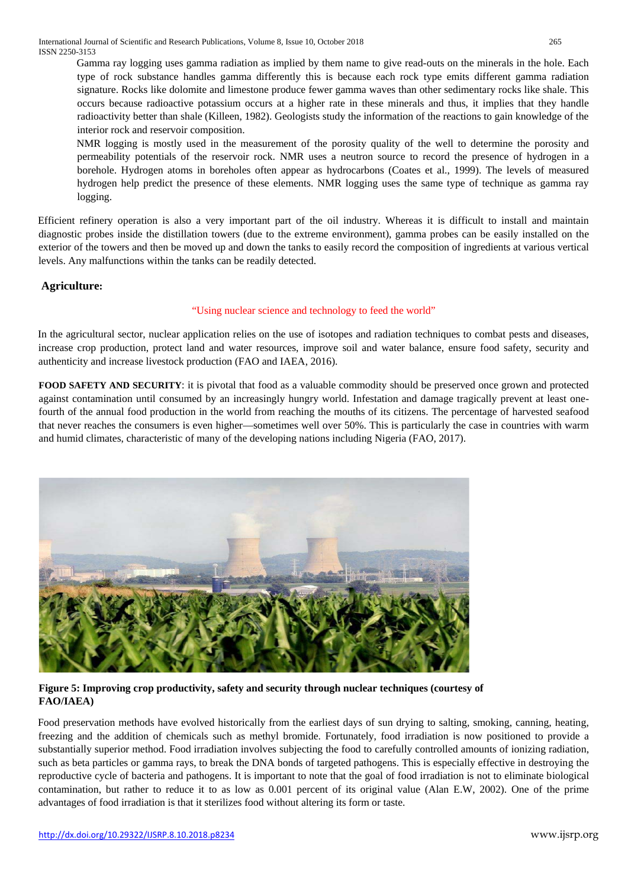Gamma ray logging uses gamma radiation as implied by them name to give read-outs on the minerals in the hole. Each type of rock substance handles gamma differently this is because each rock type emits different gamma radiation signature. Rocks like dolomite and limestone produce fewer gamma waves than other sedimentary rocks like shale. This occurs because radioactive potassium occurs at a higher rate in these minerals and thus, it implies that they handle radioactivity better than shale (Killeen, 1982). Geologists study the information of the reactions to gain knowledge of the interior rock and reservoir composition.

NMR logging is mostly used in the measurement of the porosity quality of the well to determine the porosity and permeability potentials of the reservoir rock. NMR uses a neutron source to record the presence of hydrogen in a borehole. Hydrogen atoms in boreholes often appear as hydrocarbons (Coates et al., 1999). The levels of measured hydrogen help predict the presence of these elements. NMR logging uses the same type of technique as gamma ray logging.

Efficient refinery operation is also a very important part of the oil industry. Whereas it is difficult to install and maintain diagnostic probes inside the distillation towers (due to the extreme environment), gamma probes can be easily installed on the exterior of the towers and then be moved up and down the tanks to easily record the composition of ingredients at various vertical levels. Any malfunctions within the tanks can be readily detected.

# **Agriculture:**

# "Using nuclear science and technology to feed the world"

In the agricultural sector, nuclear application relies on the use of isotopes and radiation techniques to combat pests and diseases, increase crop production, protect land and water resources, improve soil and water balance, ensure food safety, security and authenticity and increase livestock production (FAO and IAEA, 2016).

**FOOD SAFETY AND SECURITY**: it is pivotal that food as a valuable commodity should be preserved once grown and protected against contamination until consumed by an increasingly hungry world. Infestation and damage tragically prevent at least onefourth of the annual food production in the world from reaching the mouths of its citizens. The percentage of harvested seafood that never reaches the consumers is even higher—sometimes well over 50%. This is particularly the case in countries with warm and humid climates, characteristic of many of the developing nations including Nigeria (FAO, 2017).



**Figure 5: Improving crop productivity, safety and security through nuclear techniques (courtesy of FAO/IAEA)**

Food preservation methods have evolved historically from the earliest days of sun drying to salting, smoking, canning, heating, freezing and the addition of chemicals such as methyl bromide. Fortunately, food irradiation is now positioned to provide a substantially superior method. Food irradiation involves subjecting the food to carefully controlled amounts of ionizing radiation, such as beta particles or gamma rays, to break the DNA bonds of targeted pathogens. This is especially effective in destroying the reproductive cycle of bacteria and pathogens. It is important to note that the goal of food irradiation is not to eliminate biological contamination, but rather to reduce it to as low as 0.001 percent of its original value (Alan E.W, 2002). One of the prime advantages of food irradiation is that it sterilizes food without altering its form or taste.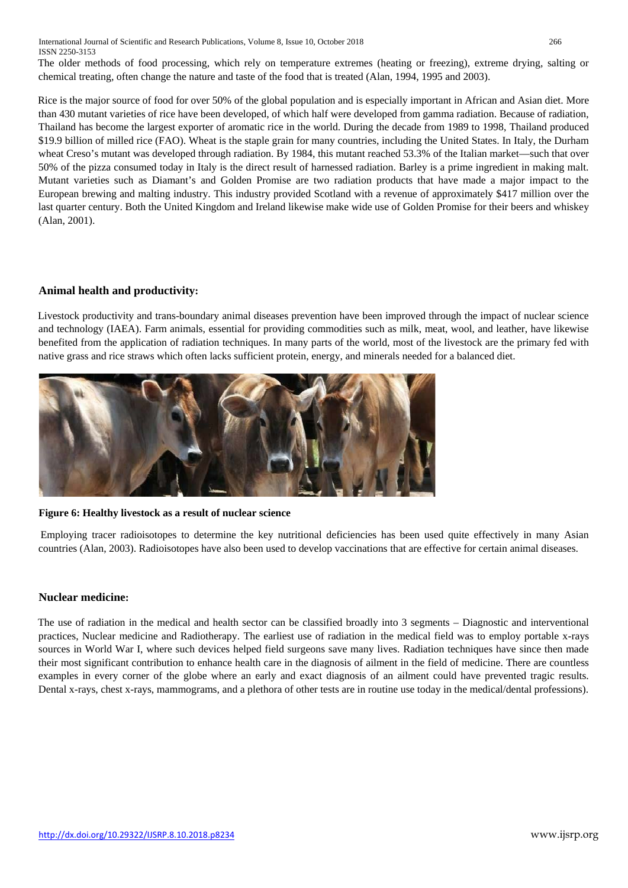International Journal of Scientific and Research Publications, Volume 8, Issue 10, October 2018 266 ISSN 2250-3153

The older methods of food processing, which rely on temperature extremes (heating or freezing), extreme drying, salting or chemical treating, often change the nature and taste of the food that is treated (Alan, 1994, 1995 and 2003).

Rice is the major source of food for over 50% of the global population and is especially important in African and Asian diet. More than 430 mutant varieties of rice have been developed, of which half were developed from gamma radiation. Because of radiation, Thailand has become the largest exporter of aromatic rice in the world. During the decade from 1989 to 1998, Thailand produced \$19.9 billion of milled rice (FAO). Wheat is the staple grain for many countries, including the United States. In Italy, the Durham wheat Creso's mutant was developed through radiation. By 1984, this mutant reached 53.3% of the Italian market—such that over 50% of the pizza consumed today in Italy is the direct result of harnessed radiation. Barley is a prime ingredient in making malt. Mutant varieties such as Diamant's and Golden Promise are two radiation products that have made a major impact to the European brewing and malting industry. This industry provided Scotland with a revenue of approximately \$417 million over the last quarter century. Both the United Kingdom and Ireland likewise make wide use of Golden Promise for their beers and whiskey (Alan, 2001).

## **Animal health and productivity:**

Livestock productivity and trans-boundary animal diseases prevention have been improved through the impact of nuclear science and technology (IAEA). Farm animals, essential for providing commodities such as milk, meat, wool, and leather, have likewise benefited from the application of radiation techniques. In many parts of the world, most of the livestock are the primary fed with native grass and rice straws which often lacks sufficient protein, energy, and minerals needed for a balanced diet.



#### **Figure 6: Healthy livestock as a result of nuclear science**

Employing tracer radioisotopes to determine the key nutritional deficiencies has been used quite effectively in many Asian countries (Alan, 2003). Radioisotopes have also been used to develop vaccinations that are effective for certain animal diseases.

#### **Nuclear medicine:**

The use of radiation in the medical and health sector can be classified broadly into 3 segments – Diagnostic and interventional practices, Nuclear medicine and Radiotherapy. The earliest use of radiation in the medical field was to employ portable x-rays sources in World War I, where such devices helped field surgeons save many lives. Radiation techniques have since then made their most significant contribution to enhance health care in the diagnosis of ailment in the field of medicine. There are countless examples in every corner of the globe where an early and exact diagnosis of an ailment could have prevented tragic results. Dental x-rays, chest x-rays, mammograms, and a plethora of other tests are in routine use today in the medical/dental professions).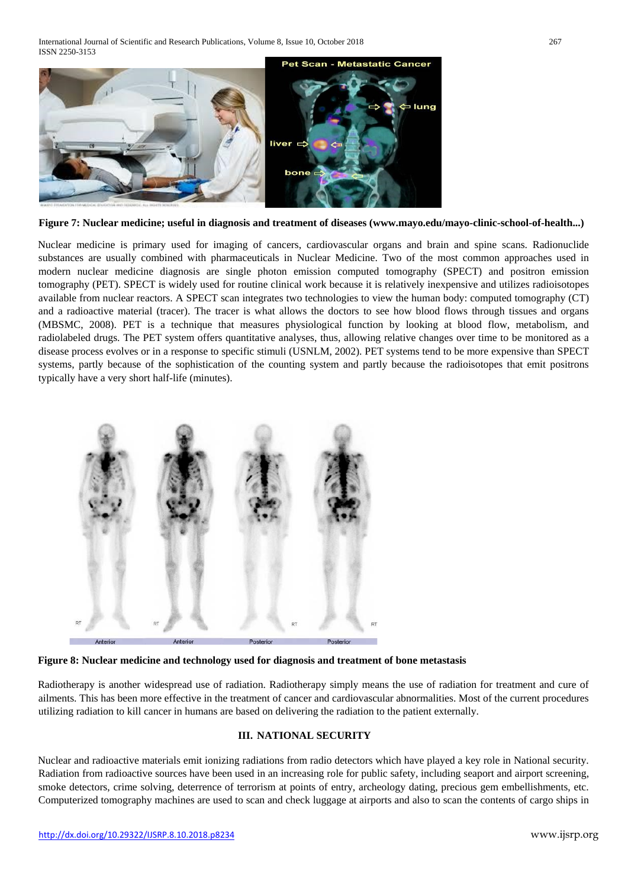

**Figure 7: Nuclear medicine; useful in diagnosis and treatment of diseases (www.mayo.edu/mayo-clinic-school-of-health...)** 

Nuclear medicine is primary used for imaging of cancers, cardiovascular organs and brain and spine scans. Radionuclide substances are usually combined with pharmaceuticals in Nuclear Medicine. Two of the most common approaches used in modern nuclear medicine diagnosis are single photon emission computed tomography (SPECT) and positron emission tomography (PET). SPECT is widely used for routine clinical work because it is relatively inexpensive and utilizes radioisotopes available from nuclear reactors. A SPECT scan integrates two technologies to view the human body: computed tomography (CT) and a radioactive material (tracer). The tracer is what allows the doctors to see how blood flows through tissues and organs (MBSMC, 2008). PET is a technique that measures physiological function by looking at blood flow, metabolism, and radiolabeled drugs. The PET system offers quantitative analyses, thus, allowing relative changes over time to be monitored as a disease process evolves or in a response to specific stimuli (USNLM, 2002). PET systems tend to be more expensive than SPECT systems, partly because of the sophistication of the counting system and partly because the radioisotopes that emit positrons typically have a very short half-life (minutes).



**Figure 8: Nuclear medicine and technology used for diagnosis and treatment of bone metastasis** 

Radiotherapy is another widespread use of radiation. Radiotherapy simply means the use of radiation for treatment and cure of ailments. This has been more effective in the treatment of cancer and cardiovascular abnormalities. Most of the current procedures utilizing radiation to kill cancer in humans are based on delivering the radiation to the patient externally.

# **III. NATIONAL SECURITY**

Nuclear and radioactive materials emit ionizing radiations from radio detectors which have played a key role in National security. Radiation from radioactive sources have been used in an increasing role for public safety, including seaport and airport screening, smoke detectors, crime solving, deterrence of terrorism at points of entry, archeology dating, precious gem embellishments, etc. Computerized tomography machines are used to scan and check luggage at airports and also to scan the contents of cargo ships in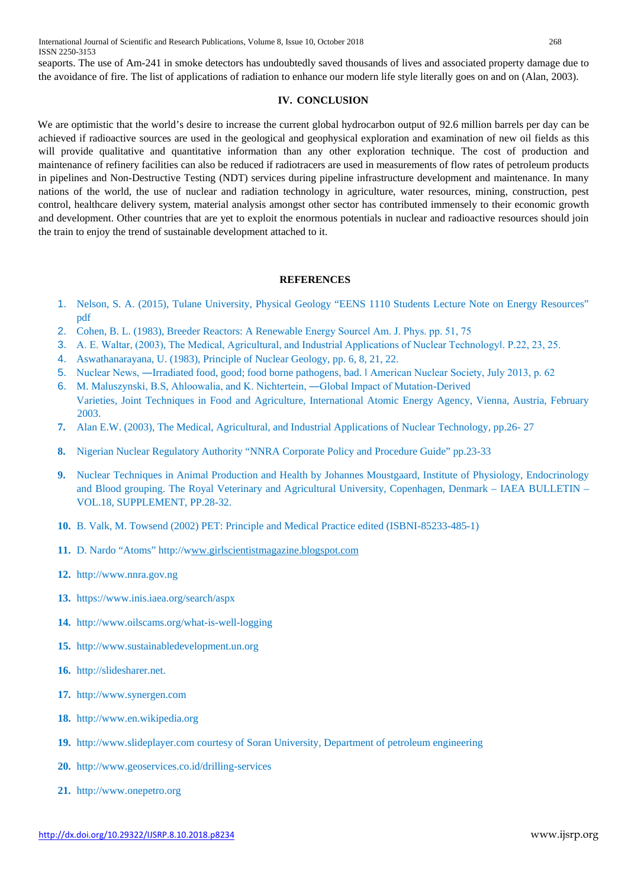seaports. The use of Am-241 in smoke detectors has undoubtedly saved thousands of lives and associated property damage due to the avoidance of fire. The list of applications of radiation to enhance our modern life style literally goes on and on (Alan, 2003).

## **IV. CONCLUSION**

We are optimistic that the world's desire to increase the current global hydrocarbon output of 92.6 million barrels per day can be achieved if radioactive sources are used in the geological and geophysical exploration and examination of new oil fields as this will provide qualitative and quantitative information than any other exploration technique. The cost of production and maintenance of refinery facilities can also be reduced if radiotracers are used in measurements of flow rates of petroleum products in pipelines and Non-Destructive Testing (NDT) services during pipeline infrastructure development and maintenance. In many nations of the world, the use of nuclear and radiation technology in agriculture, water resources, mining, construction, pest control, healthcare delivery system, material analysis amongst other sector has contributed immensely to their economic growth and development. Other countries that are yet to exploit the enormous potentials in nuclear and radioactive resources should join the train to enjoy the trend of sustainable development attached to it.

## **REFERENCES**

- 1. Nelson, S. A. (2015), Tulane University, Physical Geology "EENS 1110 Students Lecture Note on Energy Resources" pdf
- 2. Cohen, B. L. (1983), Breeder Reactors: A Renewable Energy Sourcel Am. J. Phys. pp. 51, 75
- 3. A. E. Waltar, (2003), The Medical, Agricultural, and Industrial Applications of Nuclear Technologyl. P.22, 23, 25.
- 4. Aswathanarayana, U. (1983), Principle of Nuclear Geology, pp. 6, 8, 21, 22.
- 5. Nuclear News, ―Irradiated food, good; food borne pathogens, bad. ‖ American Nuclear Society, July 2013, p. 62
- 6. M. Maluszynski, B.S, Ahloowalia, and K. Nichtertein, ―Global Impact of Mutation-Derived Varieties, Joint Techniques in Food and Agriculture, International Atomic Energy Agency, Vienna, Austria, February 2003.
- **7.** Alan E.W. (2003), The Medical, Agricultural, and Industrial Applications of Nuclear Technology, pp.26- 27
- **8.** Nigerian Nuclear Regulatory Authority "NNRA Corporate Policy and Procedure Guide" pp.23-33
- **9.** Nuclear Techniques in Animal Production and Health by Johannes Moustgaard, Institute of Physiology, Endocrinology and Blood grouping. The Royal Veterinary and Agricultural University, Copenhagen, Denmark – IAEA BULLETIN – VOL.18, SUPPLEMENT, PP.28-32.
- **10.** B. Valk, M. Towsend (2002) PET: Principle and Medical Practice edited (ISBNI-85233-485-1)
- **11.** D. Nardo "Atoms" [http://www.girlscientistmagazine.blogspot.com](http://w/)
- **12.** [http://www.nnra.gov.ng](http://www.nnra.gov.ng/)
- **13.** <https://www.inis.iaea.org/search/aspx>
- **14.** <http://www.oilscams.org/what-is-well-logging>
- **15.** [http://www.sustainabledevelopment.un.org](http://www.sustainabledevelopment.un.org/)
- **16.** [http://slidesharer.net.](http://slidesharer.net/)
- **17.** [http://www.synergen.com](http://www.synergen.com/)
- **18.** [http://www.en.wikipedia.org](http://www.en.wikipedia.org/)
- **19.** [http://www.slideplayer.com](http://www.slideplayer.com/) courtesy of Soran University, Department of petroleum engineering
- **20.** <http://www.geoservices.co.id/drilling-services>
- **21.** [http://www.onepetro.org](http://www.onepetro.org/)